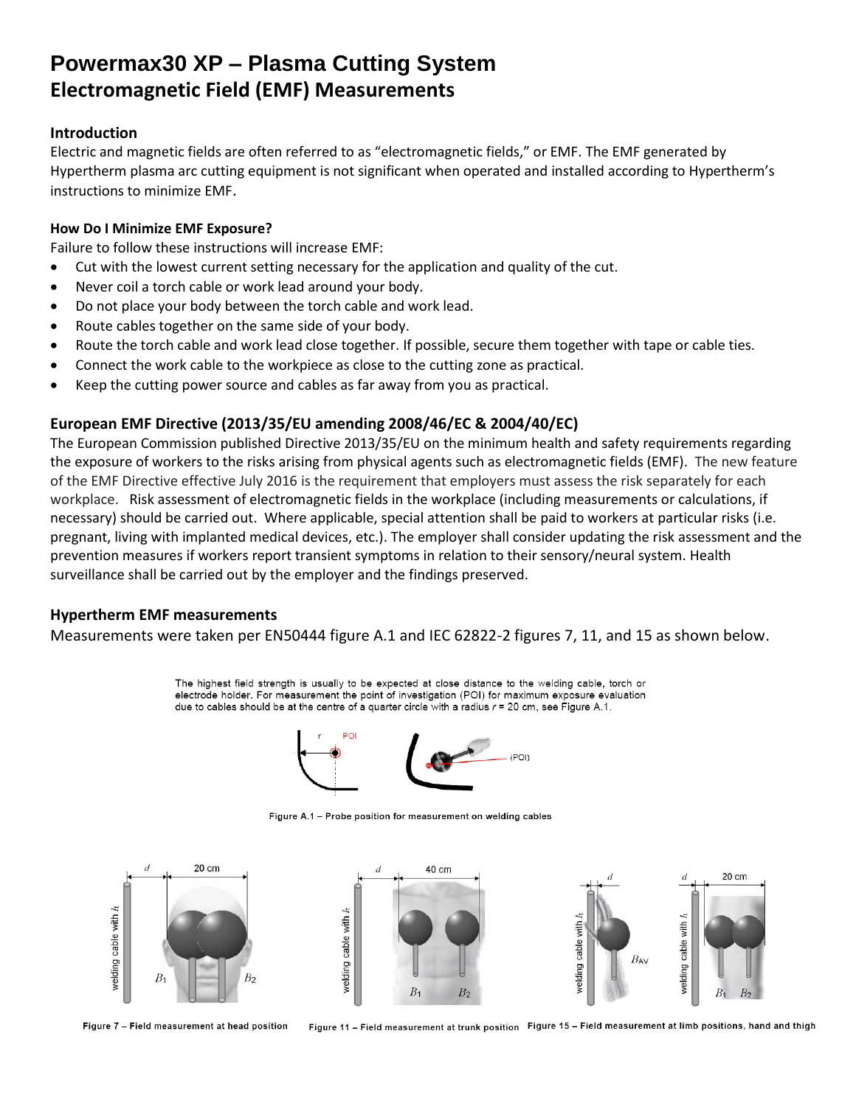## **Powermax30 XP – Plasma Cutting System Electromagnetic Field (EMF) Measurements**

### **Introduction**

Electric and magnetic fields are often referred to as "electromagnetic fields," or EMF. The EMF generated by Hypertherm plasma arc cutting equipment is not significant when operated and installed according to Hypertherm's instructions to minimize EMF.

### **How Do I Minimize EMF Exposure?**

Failure to follow these instructions will increase EMF:

- Cut with the lowest current setting necessary for the application and quality of the cut.
- Never coil a torch cable or work lead around your body.
- Do not place your body between the torch cable and work lead.
- Route cables together on the same side of your body.
- Route the torch cable and work lead close together. If possible, secure them together with tape or cable ties.
- Connect the work cable to the workpiece as close to the cutting zone as practical.
- Keep the cutting power source and cables as far away from you as practical.

## **European EMF Directive (2013/35/EU amending 2008/46/EC & 2004/40/EC)**

The European Commission published Directive 2013/35/EU on the minimum health and safety requirements regarding the exposure of workers to the risks arising from physical agents such as electromagnetic fields (EMF). The new feature of the EMF Directive effective July 2016 is the requirement that employers must assess the risk separately for each workplace. Risk assessment of electromagnetic fields in the workplace (including measurements or calculations, if necessary) should be carried out. Where applicable, special attention shall be paid to workers at particular risks (i.e. pregnant, living with implanted medical devices, etc.). The employer shall consider updating the risk assessment and the prevention measures if workers report transient symptoms in relation to their sensory/neural system. Health surveillance shall be carried out by the employer and the findings preserved.

### **Hypertherm EMF measurements**

Measurements were taken per EN50444 figure A.1 and IEC 62822-2 figures 7, 11, and 15 as shown below.

The highest field strength is usually to be expected at close distance to the welding cable, torch or electrode holder. For measurement the point of investigation (POI) for maximum exposure evaluation due to cables should be at the centre of a quarter circle with a radius  $r = 20$  cm, see Figure A.1.



Figure A.1 - Probe position for measurement on welding cables



Figure 7 - Field measurement at head position

Figure 11 - Field measurement at trunk position Figure 15 - Field measurement at limb positions, hand and thigh